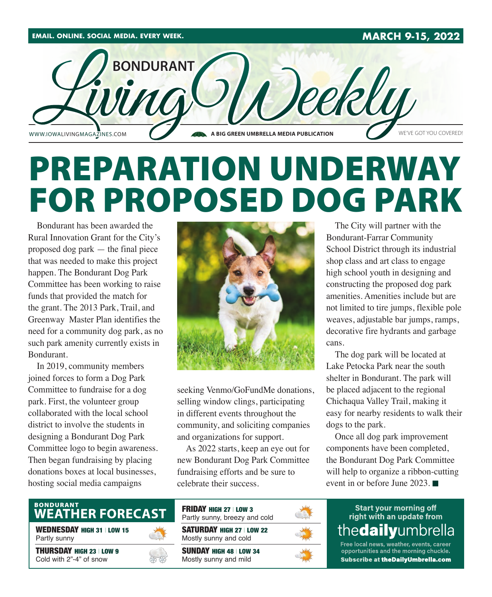

# PREPARATION UNDERWAY FOR PROPOSED DOG PARK

Bondurant has been awarded the Rural Innovation Grant for the City's proposed dog park — the final piece that was needed to make this project happen. The Bondurant Dog Park Committee has been working to raise funds that provided the match for the grant. The 2013 Park, Trail, and Greenway Master Plan identifies the need for a community dog park, as no such park amenity currently exists in Bondurant.

In 2019, community members joined forces to form a Dog Park Committee to fundraise for a dog park. First, the volunteer group collaborated with the local school district to involve the students in designing a Bondurant Dog Park Committee logo to begin awareness. Then began fundraising by placing donations boxes at local businesses, hosting social media campaigns



seeking Venmo/GoFundMe donations, selling window clings, participating in different events throughout the community, and soliciting companies and organizations for support.

As 2022 starts, keep an eye out for new Bondurant Dog Park Committee fundraising efforts and be sure to celebrate their success.

The City will partner with the Bondurant-Farrar Community School District through its industrial shop class and art class to engage high school youth in designing and constructing the proposed dog park amenities. Amenities include but are not limited to tire jumps, flexible pole weaves, adjustable bar jumps, ramps, decorative fire hydrants and garbage cans.

The dog park will be located at Lake Petocka Park near the south shelter in Bondurant. The park will be placed adjacent to the regional Chichaqua Valley Trail, making it easy for nearby residents to walk their dogs to the park.

Once all dog park improvement components have been completed, the Bondurant Dog Park Committee will help to organize a ribbon-cutting event in or before June 2023.

## BONDURANT<br>WEATHER FORECAST

WEDNESDAY HIGH 31 | LOW 15 Partly sunny

THURSDAY HIGH 23 | LOW 9 Cold with 2"-4" of snow



SATURDAY HIGH 27 | LOW 22 Mostly sunny and cold FRIDAY HIGH 27 | LOW 3 Partly sunny, breezy and cold

SUNDAY HIGH 48 | LOW 34 Mostly sunny and mild



**Start your morning off** right with an update from thedailyumbrella

Free local news, weather, events, career opportunities and the morning chuckle. Subscribe at theDailyUmbrella.com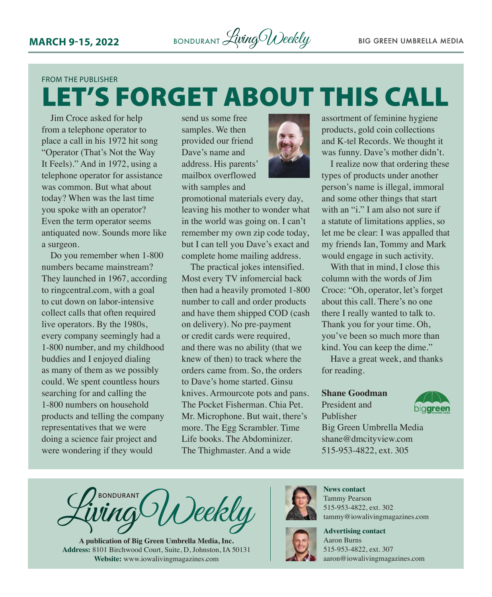### FROM THE PUBLISHER LET'S FORGET ABOUT THIS CALL

Jim Croce asked for help from a telephone operator to place a call in his 1972 hit song "Operator (That's Not the Way It Feels)." And in 1972, using a telephone operator for assistance was common. But what about today? When was the last time you spoke with an operator? Even the term operator seems antiquated now. Sounds more like a surgeon.

Do you remember when 1-800 numbers became mainstream? They launched in 1967, according to [ringcentral.com,](http://ringcentral.com) with a goal to cut down on labor-intensive collect calls that often required live operators. By the 1980s, every company seemingly had a 1-800 number, and my childhood buddies and I enjoyed dialing as many of them as we possibly could. We spent countless hours searching for and calling the 1-800 numbers on household products and telling the company representatives that we were doing a science fair project and were wondering if they would

send us some free samples. We then provided our friend Dave's name and address. His parents' mailbox overflowed with samples and



promotional materials every day, leaving his mother to wonder what in the world was going on. I can't remember my own zip code today, but I can tell you Dave's exact and complete home mailing address.

The practical jokes intensified. Most every TV infomercial back then had a heavily promoted 1-800 number to call and order products and have them shipped COD (cash on delivery). No pre-payment or credit cards were required, and there was no ability (that we knew of then) to track where the orders came from. So, the orders to Dave's home started. Ginsu knives. Armourcote pots and pans. The Pocket Fisherman. Chia Pet. Mr. Microphone. But wait, there's more. The Egg Scrambler. Time Life books. The Abdominizer. The Thighmaster. And a wide

assortment of feminine hygiene products, gold coin collections and K-tel Records. We thought it was funny. Dave's mother didn't.

I realize now that ordering these types of products under another person's name is illegal, immoral and some other things that start with an "i." I am also not sure if a statute of limitations applies, so let me be clear: I was appalled that my friends Ian, Tommy and Mark would engage in such activity.

With that in mind, I close this column with the words of Jim Croce: "Oh, operator, let's forget about this call. There's no one there I really wanted to talk to. Thank you for your time. Oh, you've been so much more than kind. You can keep the dime."

Have a great week, and thanks for reading.

**Shane Goodman**

President and Publisher



Big Green Umbrella Media shane@dmcityview.com 515-953-4822, ext. 305

**BONDURANT** Veekly

**A publication of Big Green Umbrella Media, Inc. Address:** 8101 Birchwood Court, Suite, D, Johnston, IA 50131 **Website:** www.iowalivingmagazines.com



**News contact** Tammy Pearson 515-953-4822, ext. 302 tammy@iowalivingmagazines.com



**Advertising contact** Aaron Burns 515-953-4822, ext. 307 [aaron@iowalivingmagazines.com](mailto:aaron@iowalivingmagazines.com)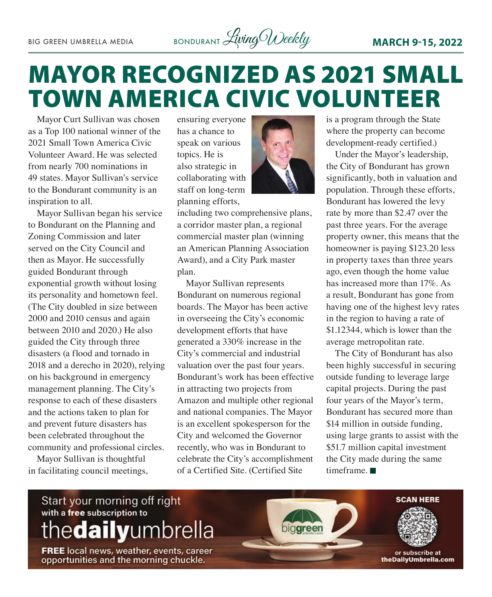

# MAYOR RECOGNIZED AS 2021 SMALL TOWN AMERICA CIVIC VOLUNTEER

Mayor Curt Sullivan was chosen as a Top 100 national winner of the 2021 Small Town America Civic Volunteer Award. He was selected from nearly 700 nominations in 49 states. Mayor Sullivan's service to the Bondurant community is an inspiration to all.

Mayor Sullivan began his service to Bondurant on the Planning and Zoning Commission and later served on the City Council and then as Mayor. He successfully guided Bondurant through exponential growth without losing its personality and hometown feel. (The City doubled in size between 2000 and 2010 census and again between 2010 and 2020.) He also guided the City through three disasters (a flood and tornado in 2018 and a derecho in 2020), relying on his background in emergency management planning. The City's response to each of these disasters and the actions taken to plan for and prevent future disasters has been celebrated throughout the community and professional circles.

Mayor Sullivan is thoughtful in facilitating council meetings, ensuring everyone has a chance to speak on various topics. He is also strategic in collaborating with staff on long-term planning efforts,



including two comprehensive plans, a corridor master plan, a regional commercial master plan (winning an American Planning Association Award), and a City Park master plan.

Mayor Sullivan represents Bondurant on numerous regional boards. The Mayor has been active in overseeing the City's economic development efforts that have generated a 330% increase in the City's commercial and industrial valuation over the past four years. Bondurant's work has been effective in attracting two projects from Amazon and multiple other regional and national companies. The Mayor is an excellent spokesperson for the City and welcomed the Governor recently, who was in Bondurant to celebrate the City's accomplishment of a Certified Site. (Certified Site

is a program through the State where the property can become development-ready certified.)

Under the Mayor's leadership, the City of Bondurant has grown significantly, both in valuation and population. Through these efforts, Bondurant has lowered the levy rate by more than \$2.47 over the past three years. For the average property owner, this means that the homeowner is paying \$123.20 less in property taxes than three years ago, even though the home value has increased more than 17%. As a result, Bondurant has gone from having one of the highest levy rates in the region to having a rate of \$1.12344, which is lower than the average metropolitan rate.

The City of Bondurant has also been highly successful in securing outside funding to leverage large capital projects. During the past four years of the Mayor's term, Bondurant has secured more than \$14 million in outside funding, using large grants to assist with the \$51.7 million capital investment the City made during the same timeframe $\blacksquare$ 

### Start your morning off right with a free subscription to thedailyumbrella

FREE local news, weather, events, career<br>opportunities and the morning chuckle.

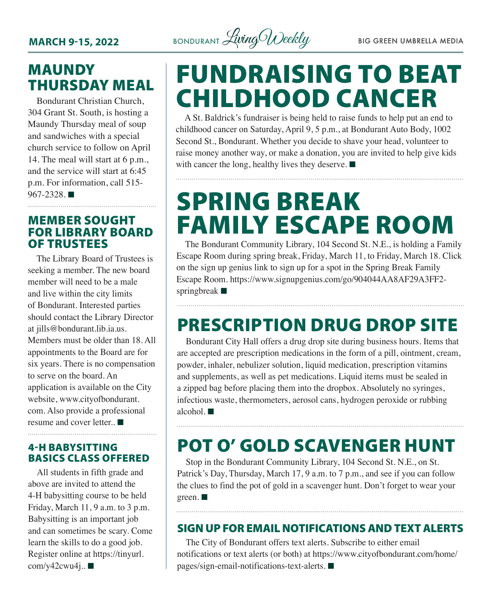

### MAUNDY THURSDAY MEAL

Bondurant Christian Church, 304 Grant St. South, is hosting a Maundy Thursday meal of soup and sandwiches with a special church service to follow on April 14. The meal will start at 6 p.m., and the service will start at 6:45 p.m. For information, call 515-  $967 - 2328$ .

#### MEMBER SOUGHT FOR LIBRARY BOARD OF TRUSTEES

The Library Board of Trustees is seeking a member. The new board member will need to be a male and live within the city limits of Bondurant. Interested parties should contact the Library Director at [jills@bondurant.lib.ia.us.](mailto:jills@bondurant.lib.ia.us) Members must be older than 18. All appointments to the Board are for six years. There is no compensation to serve on the board. An application is available on the City website, [www.cityofbondurant.](http://www.cityofbondurant.com) [com](http://www.cityofbondurant.com). Also provide a professional resume and cover letter.  $\blacksquare$ 

#### 4-H BABYSITTING BASICS CLASS OFFERED

All students in fifth grade and above are invited to attend the 4-H babysitting course to be held Friday, March 11, 9 a.m. to 3 p.m. Babysitting is an important job and can sometimes be scary. Come learn the skills to do a good job. Register online at [https://tinyurl.](https://tinyurl.com/y42cwu4j)  $com/y42cwu4j$ ..

# FUNDRAISING TO BEAT CHILDHOOD CANCER

A St. Baldrick's fundraiser is being held to raise funds to help put an end to childhood cancer on Saturday, April 9, 5 p.m., at Bondurant Auto Body, 1002 Second St., Bondurant. Whether you decide to shave your head, volunteer to raise money another way, or make a donation, you are invited to help give kids with cancer the long, healthy lives they deserve.  $\blacksquare$ 

# SPRING BREAK FAMILY ESCAPE ROOM

The Bondurant Community Library, 104 Second St. N.E., is holding a Family Escape Room during spring break, Friday, March 11, to Friday, March 18. Click on the sign up genius link to sign up for a spot in the Spring Break Family Escape Room. [https://www.signupgenius.com/go/904044AA8AF29A3FF2](https://www.signupgenius.com/go/904044AA8AF29A3FF2-springbreak) [springbreak](https://www.signupgenius.com/go/904044AA8AF29A3FF2-springbreak)  $\blacksquare$ 

## PRESCRIPTION DRUG DROP SITE

Bondurant City Hall offers a drug drop site during business hours. Items that are accepted are prescription medications in the form of a pill, ointment, cream, powder, inhaler, nebulizer solution, liquid medication, prescription vitamins and supplements, as well as pet medications. Liquid items must be sealed in a zipped bag before placing them into the dropbox. Absolutely no syringes, infectious waste, thermometers, aerosol cans, hydrogen peroxide or rubbing alcohol.  $\blacksquare$ 

## POT O' GOLD SCAVENGER HUNT

Stop in the Bondurant Community Library, 104 Second St. N.E., on St. Patrick's Day, Thursday, March 17, 9 a.m. to 7 p.m., and see if you can follow the clues to find the pot of gold in a scavenger hunt. Don't forget to wear your  $green.$ 

#### SIGN UP FOR EMAIL NOTIFICATIONS AND TEXT ALERTS

The City of Bondurant offers text alerts. Subscribe to either email notifications or text alerts (or both) at [https://www.cityofbondurant.com/home/](https://www.cityofbondurant.com/home/pages/sign-email-notifications-text-alerts)  $pages/sign-email-notifications-text-alerts.$  $pages/sign-email-notifications-text-alerts.$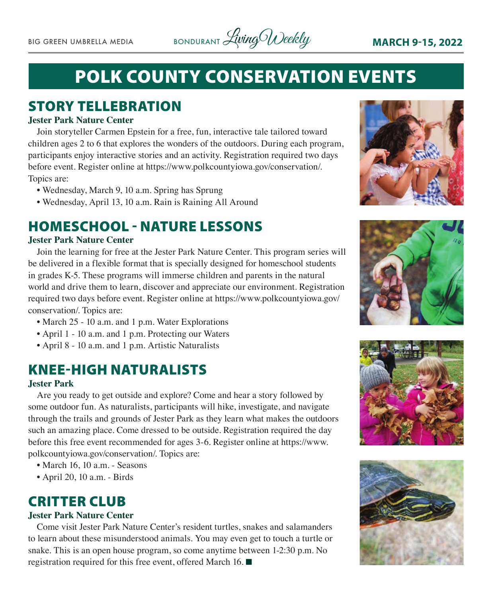

## POLK COUNTY CONSERVATION EVENTS

### STORY TELLEBRATION

#### **Jester Park Nature Center**

Join storyteller Carmen Epstein for a free, fun, interactive tale tailored toward children ages 2 to 6 that explores the wonders of the outdoors. During each program, participants enjoy interactive stories and an activity. Registration required two days before event. Register online at https://www.polkcountyiowa.gov/conservation/. Topics are:

- Wednesday, March 9, 10 a.m. Spring has Sprung
- Wednesday, April 13, 10 a.m. Rain is Raining All Around

### HOMESCHOOL - NATURE LESSONS

#### **Jester Park Nature Center**

Join the learning for free at the Jester Park Nature Center. This program series will be delivered in a flexible format that is specially designed for homeschool students in grades K-5. These programs will immerse children and parents in the natural world and drive them to learn, discover and appreciate our environment. Registration required two days before event. Register online at https://www.polkcountyiowa.gov/ conservation/. Topics are:

- March 25 10 a.m. and 1 p.m. Water Explorations
- April 1 10 a.m. and 1 p.m. Protecting our Waters
- April 8 10 a.m. and 1 p.m. Artistic Naturalists

### KNEE-HIGH NATURALISTS

#### **Jester Park**

Are you ready to get outside and explore? Come and hear a story followed by some outdoor fun. As naturalists, participants will hike, investigate, and navigate through the trails and grounds of Jester Park as they learn what makes the outdoors such an amazing place. Come dressed to be outside. Registration required the day before this free event recommended for ages 3-6. Register online at https://www. polkcountyiowa.gov/conservation/. Topics are:

- March 16, 10 a.m. Seasons
- April 20, 10 a.m. Birds

### CRITTER CLUB

#### **Jester Park Nature Center**

Come visit Jester Park Nature Center's resident turtles, snakes and salamanders to learn about these misunderstood animals. You may even get to touch a turtle or snake. This is an open house program, so come anytime between 1-2:30 p.m. No registration required for this free event, offered March 16.  $\blacksquare$ 







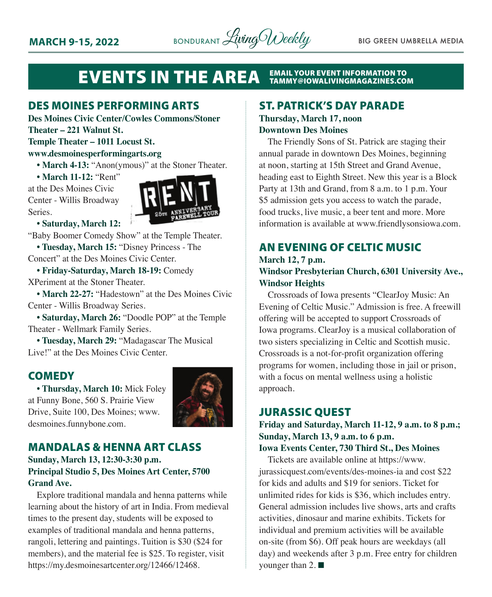

#### **EVENTS IN THE AREA EMAIL YOUR EVENT INFORMATION TO<br>TAMMY@IOWALIVINGMAGAZINES.COM**

#### DES MOINES PERFORMING ARTS

**Des Moines Civic Center/Cowles Commons/Stoner Theater – 221 Walnut St.**

#### **Temple Theater – 1011 Locust St.**

#### **[www.desmoinesperformingarts.org](http://www.desmoinesperformingarts.org)**

• March 4-13: "Anon(ymous)" at the Stoner Theater.

**• March 11-12:** "Rent"

at the Des Moines Civic Center - Willis Broadway Series.



#### **• Saturday, March 12:**

"Baby Boomer Comedy Show" at the Temple Theater. **• Tuesday, March 15:** "Disney Princess - The

Concert" at the Des Moines Civic Center.

**• Friday-Saturday, March 18-19:** Comedy XPeriment at the Stoner Theater.

**• March 22-27:** "Hadestown" at the Des Moines Civic Center - Willis Broadway Series.

**• Saturday, March 26:** "Doodle POP" at the Temple Theater - Wellmark Family Series.

**• Tuesday, March 29:** "Madagascar The Musical Live!" at the Des Moines Civic Center.

#### **COMEDY**

**• Thursday, March 10:** Mick Foley at Funny Bone, 560 S. Prairie View Drive, Suite 100, Des Moines; [www.](http://www.desmoines.funnybone.com) [desmoines.funnybone.com.](http://www.desmoines.funnybone.com)



#### MANDALAS & HENNA ART CLASS

#### **Sunday, March 13, 12:30-3:30 p.m. Principal Studio 5, Des Moines Art Center, 5700 Grand Ave.**

Explore traditional mandala and henna patterns while learning about the history of art in India. From medieval times to the present day, students will be exposed to examples of traditional mandala and henna patterns, rangoli, lettering and paintings. Tuition is \$30 (\$24 for members), and the material fee is \$25. To register, visit <https://my.desmoinesartcenter.org/12466/12468>.

#### ST. PATRICK'S DAY PARADE

#### **Thursday, March 17, noon Downtown Des Moines**

The Friendly Sons of St. Patrick are staging their annual parade in downtown Des Moines, beginning at noon, starting at 15th Street and Grand Avenue, heading east to Eighth Street. New this year is a Block Party at 13th and Grand, from 8 a.m. to 1 p.m. Your \$5 admission gets you access to watch the parade, food trucks, live music, a beer tent and more. More information is available at [www.friendlysonsiowa.com.](http://www.friendlysonsiowa.com)

#### AN EVENING OF CELTIC MUSIC

#### **March 12, 7 p.m. Windsor Presbyterian Church, 6301 University Ave., Windsor Heights**

Crossroads of Iowa presents "ClearJoy Music: An Evening of Celtic Music." Admission is free. A freewill offering will be accepted to support Crossroads of Iowa programs. ClearJoy is a musical collaboration of two sisters specializing in Celtic and Scottish music. Crossroads is a not-for-profit organization offering programs for women, including those in jail or prison, with a focus on mental wellness using a holistic approach.

#### JURASSIC QUEST

**Friday and Saturday, March 11-12, 9 a.m. to 8 p.m.; Sunday, March 13, 9 a.m. to 6 p.m. Iowa Events Center, 730 Third St., Des Moines**

Tickets are available online at [https://www.](https://www.jurassicquest.com/events/des-moines-ia) [jurassicquest.com/events/des-moines-ia](https://www.jurassicquest.com/events/des-moines-ia) and cost \$22 for kids and adults and \$19 for seniors. Ticket for unlimited rides for kids is \$36, which includes entry. General admission includes live shows, arts and crafts activities, dinosaur and marine exhibits. Tickets for individual and premium activities will be available on-site (from \$6). Off peak hours are weekdays (all day) and weekends after 3 p.m. Free entry for children younger than  $2. \blacksquare$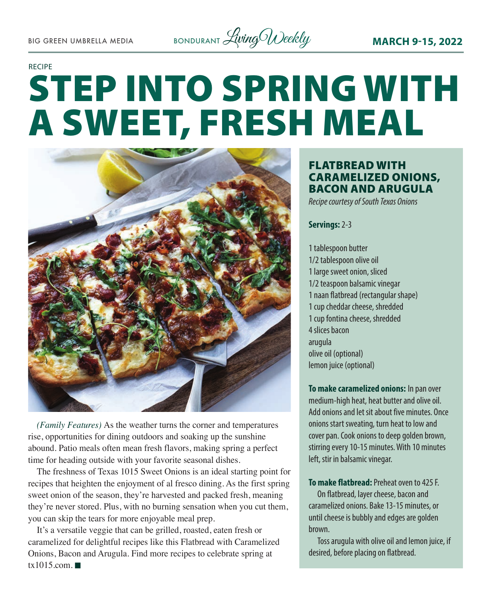

#### RECIPE

# STEP INTO SPRING WITH A SWEET, FRESH MEAL



*(Family Features)* As the weather turns the corner and temperatures rise, opportunities for dining outdoors and soaking up the sunshine abound. Patio meals often mean fresh flavors, making spring a perfect time for heading outside with your favorite seasonal dishes.

The freshness of Texas 1015 Sweet Onions is an ideal starting point for recipes that heighten the enjoyment of al fresco dining. As the first spring sweet onion of the season, they're harvested and packed fresh, meaning they're never stored. Plus, with no burning sensation when you cut them, you can skip the tears for more enjoyable meal prep.

It's a versatile veggie that can be grilled, roasted, eaten fresh or caramelized for delightful recipes like this Flatbread with Caramelized Onions, Bacon and Arugula. Find more recipes to celebrate spring at [tx1015.com](http://tx1015.com). $\blacksquare$ 

#### FLATBREAD WITH CARAMELIZED ONIONS, BACON AND ARUGULA

*Recipe courtesy of South Texas Onions*

#### **Servings:** 2-3

1 tablespoon butter 1/2 tablespoon olive oil 1 large sweet onion, sliced 1/2 teaspoon balsamic vinegar 1 naan flatbread (rectangular shape) 1 cup cheddar cheese, shredded 1 cup fontina cheese, shredded 4 slices bacon arugula olive oil (optional) lemon juice (optional)

**To make caramelized onions:** In pan over medium-high heat, heat butter and olive oil. Add onions and let sit about five minutes. Once onions start sweating, turn heat to low and cover pan. Cook onions to deep golden brown, stirring every 10-15 minutes. With 10 minutes left, stir in balsamic vinegar.

**To make flatbread:** Preheat oven to 425 F. On flatbread, layer cheese, bacon and caramelized onions. Bake 13-15 minutes, or until cheese is bubbly and edges are golden brown.

Toss arugula with olive oil and lemon juice, if desired, before placing on flatbread.